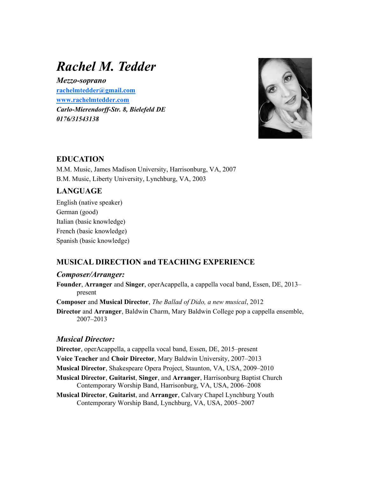# Rachel M. Tedder

Mezzo-soprano rachelmtedder@gmail.com www.rachelmtedder.com Carlo-Mierendorff-Str. 8, Bielefeld DE 0176/31543138



### EDUCATION

M.M. Music, James Madison University, Harrisonburg, VA, 2007 B.M. Music, Liberty University, Lynchburg, VA, 2003

# **LANGUAGE**

English (native speaker) German (good) Italian (basic knowledge) French (basic knowledge) Spanish (basic knowledge)

# MUSICAL DIRECTION and TEACHING EXPERIENCE

#### Composer/Arranger:

Founder, Arranger and Singer, operAcappella, a cappella vocal band, Essen, DE, 2013– present

Composer and Musical Director, The Ballad of Dido, a new musical, 2012

Director and Arranger, Baldwin Charm, Mary Baldwin College pop a cappella ensemble, 2007–2013

## Musical Director:

Director, operAcappella, a cappella vocal band, Essen, DE, 2015–present Voice Teacher and Choir Director, Mary Baldwin University, 2007–2013

Musical Director, Shakespeare Opera Project, Staunton, VA, USA, 2009–2010

- Musical Director, Guitarist, Singer, and Arranger, Harrisonburg Baptist Church Contemporary Worship Band, Harrisonburg, VA, USA, 2006–2008
- Musical Director, Guitarist, and Arranger, Calvary Chapel Lynchburg Youth Contemporary Worship Band, Lynchburg, VA, USA, 2005–2007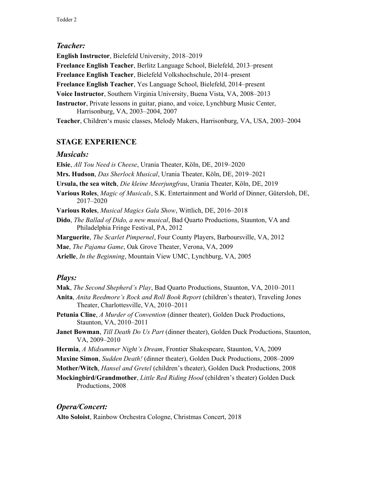#### Teacher:

English Instructor, Bielefeld University, 2018–2019 Freelance English Teacher, Berlitz Language School, Bielefeld, 2013–present Freelance English Teacher, Bielefeld Volkshochschule, 2014–present Freelance English Teacher, Yes Language School, Bielefeld, 2014–present Voice Instructor, Southern Virginia University, Buena Vista, VA, 2008–2013 Instructor, Private lessons in guitar, piano, and voice, Lynchburg Music Center, Harrisonburg, VA, 2003–2004, 2007 Teacher, Children's music classes, Melody Makers, Harrisonburg, VA, USA, 2003–2004

# STAGE EXPERIENCE

#### Musicals:

Elsie, All You Need is Cheese, Urania Theater, Köln, DE, 2019–2020

Mrs. Hudson, Das Sherlock Musical, Urania Theater, Köln, DE, 2019–2021

Ursula, the sea witch, Die kleine Meerjungfrau, Urania Theater, Köln, DE, 2019

Various Roles, Magic of Musicals, S.K. Entertainment and World of Dinner, Gütersloh, DE, 2017–2020

Various Roles, Musical Magics Gala Show, Wittlich, DE, 2016–2018

Dido, The Ballad of Dido, a new musical, Bad Quarto Productions, Staunton, VA and Philadelphia Fringe Festival, PA, 2012

Marguerite, The Scarlet Pimpernel, Four County Players, Barboursville, VA, 2012

Mae, The Pajama Game, Oak Grove Theater, Verona, VA, 2009

Arielle, *In the Beginning*, Mountain View UMC, Lynchburg, VA, 2005

## Plays:

Mak, *The Second Shepherd's Play*, Bad Quarto Productions, Staunton, VA, 2010–2011

- Anita, *Anita Reedmore's Rock and Roll Book Report* (children's theater), Traveling Jones Theater, Charlottesville, VA, 2010–2011
- Petunia Cline, A Murder of Convention (dinner theater), Golden Duck Productions, Staunton, VA, 2010–2011

Janet Bowman, Till Death Do Us Part (dinner theater), Golden Duck Productions, Staunton, VA, 2009–2010

Hermia, A Midsummer Night's Dream, Frontier Shakespeare, Staunton, VA, 2009

Maxine Simon, Sudden Death! (dinner theater), Golden Duck Productions, 2008–2009

Mother/Witch, Hansel and Gretel (children's theater), Golden Duck Productions, 2008

Mockingbird/Grandmother, Little Red Riding Hood (children's theater) Golden Duck Productions, 2008

## Opera/Concert:

Alto Soloist, Rainbow Orchestra Cologne, Christmas Concert, 2018